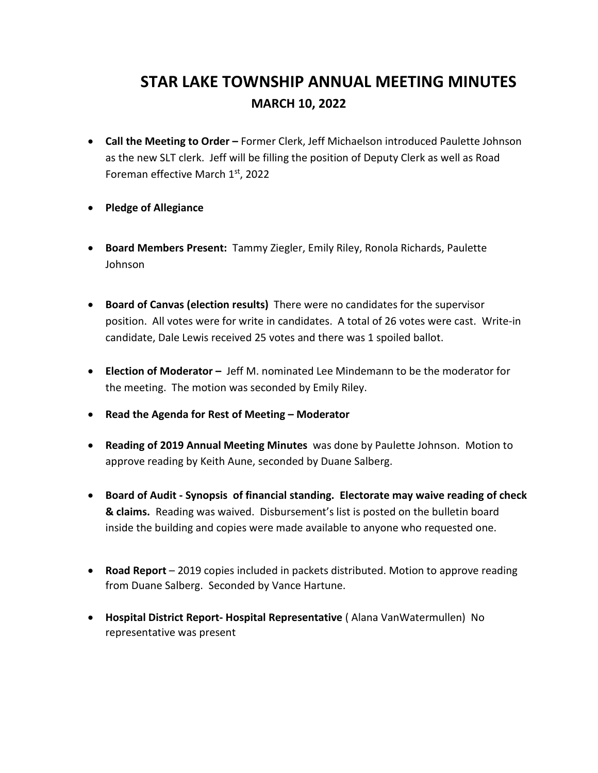## **STAR LAKE TOWNSHIP ANNUAL MEETING MINUTES MARCH 10, 2022**

- **Call the Meeting to Order –** Former Clerk, Jeff Michaelson introduced Paulette Johnson as the new SLT clerk. Jeff will be filling the position of Deputy Clerk as well as Road Foreman effective March 1st, 2022
- **Pledge of Allegiance**
- **Board Members Present:** Tammy Ziegler, Emily Riley, Ronola Richards, Paulette Johnson
- **Board of Canvas (election results)** There were no candidates for the supervisor position. All votes were for write in candidates. A total of 26 votes were cast. Write-in candidate, Dale Lewis received 25 votes and there was 1 spoiled ballot.
- **Election of Moderator –** Jeff M. nominated Lee Mindemann to be the moderator for the meeting. The motion was seconded by Emily Riley.
- **Read the Agenda for Rest of Meeting – Moderator**
- **Reading of 2019 Annual Meeting Minutes** was done by Paulette Johnson. Motion to approve reading by Keith Aune, seconded by Duane Salberg.
- **Board of Audit - Synopsis of financial standing. Electorate may waive reading of check & claims.** Reading was waived. Disbursement's list is posted on the bulletin board inside the building and copies were made available to anyone who requested one.
- **Road Report** 2019 copies included in packets distributed. Motion to approve reading from Duane Salberg. Seconded by Vance Hartune.
- **Hospital District Report- Hospital Representative** ( Alana VanWatermullen) No representative was present